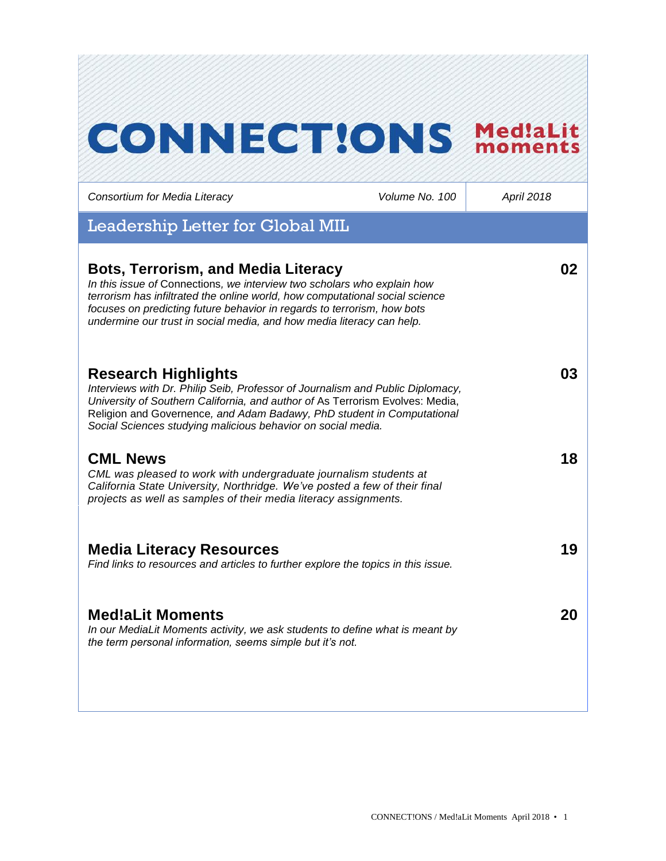# **CONNECT!ONS Med!aLit**

*Consortium for Media Literacy Volume No. 100 April 2018*

 $L = L$ . Letter for  $C$ letter  $\overline{C}$ 

| negaeizilib neitei toi Alongi miin                                                                                                                                                                                                                                                                                                                        |    |
|-----------------------------------------------------------------------------------------------------------------------------------------------------------------------------------------------------------------------------------------------------------------------------------------------------------------------------------------------------------|----|
| <b>Bots, Terrorism, and Media Literacy</b><br>In this issue of Connections, we interview two scholars who explain how<br>terrorism has infiltrated the online world, how computational social science<br>focuses on predicting future behavior in regards to terrorism, how bots<br>undermine our trust in social media, and how media literacy can help. | 02 |
| <b>Research Highlights</b><br>Interviews with Dr. Philip Seib, Professor of Journalism and Public Diplomacy,<br>University of Southern California, and author of As Terrorism Evolves: Media,<br>Religion and Governence, and Adam Badawy, PhD student in Computational<br>Social Sciences studying malicious behavior on social media.                   | 03 |
| <b>CML News</b><br>CML was pleased to work with undergraduate journalism students at<br>California State University, Northridge. We've posted a few of their final<br>projects as well as samples of their media literacy assignments.                                                                                                                    | 18 |
| <b>Media Literacy Resources</b><br>Find links to resources and articles to further explore the topics in this issue.                                                                                                                                                                                                                                      | 19 |
| <b>Med!aLit Moments</b><br>In our MediaLit Moments activity, we ask students to define what is meant by<br>the term personal information, seems simple but it's not.                                                                                                                                                                                      | 20 |
|                                                                                                                                                                                                                                                                                                                                                           |    |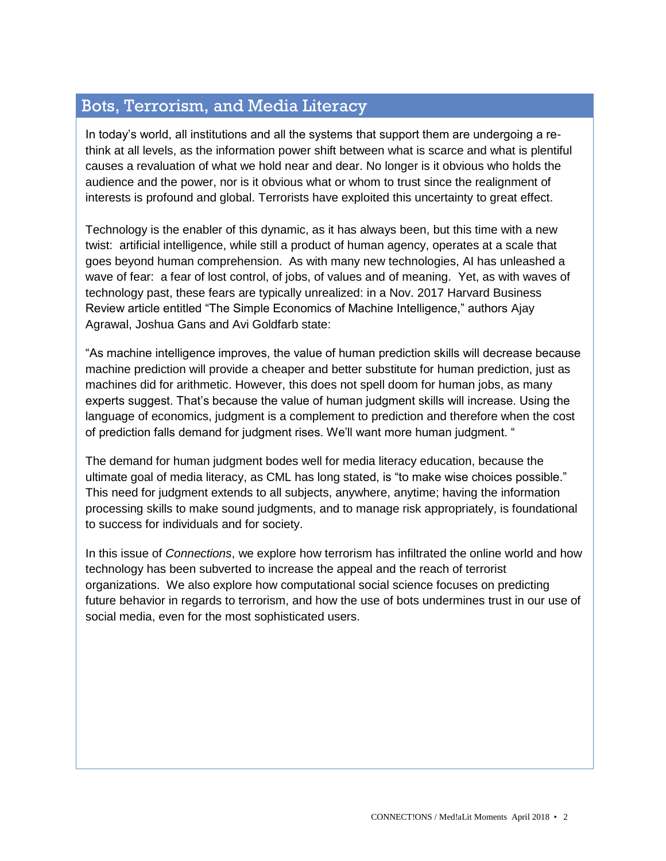# Bots, Terrorism, and Media Literacy

In today's world, all institutions and all the systems that support them are undergoing a rethink at all levels, as the information power shift between what is scarce and what is plentiful causes a revaluation of what we hold near and dear. No longer is it obvious who holds the audience and the power, nor is it obvious what or whom to trust since the realignment of interests is profound and global. Terrorists have exploited this uncertainty to great effect.

Technology is the enabler of this dynamic, as it has always been, but this time with a new twist: artificial intelligence, while still a product of human agency, operates at a scale that goes beyond human comprehension. As with many new technologies, AI has unleashed a wave of fear: a fear of lost control, of jobs, of values and of meaning. Yet, as with waves of technology past, these fears are typically unrealized: in a Nov. 2017 Harvard Business Review article entitled "The Simple Economics of Machine Intelligence," authors Ajay Agrawal, Joshua Gans and Avi Goldfarb state:

"As machine intelligence improves, the value of human prediction skills will decrease because machine prediction will provide a cheaper and better substitute for human prediction, just as machines did for arithmetic. However, this does not spell doom for human jobs, as many experts suggest. That's because the value of human judgment skills will increase. Using the language of economics, judgment is a complement to prediction and therefore when the cost of prediction falls demand for judgment rises. We'll want more human judgment. "

The demand for human judgment bodes well for media literacy education, because the ultimate goal of media literacy, as CML has long stated, is "to make wise choices possible." This need for judgment extends to all subjects, anywhere, anytime; having the information processing skills to make sound judgments, and to manage risk appropriately, is foundational to success for individuals and for society.

In this issue of *Connections*, we explore how terrorism has infiltrated the online world and how technology has been subverted to increase the appeal and the reach of terrorist organizations. We also explore how computational social science focuses on predicting future behavior in regards to terrorism, and how the use of bots undermines trust in our use of social media, even for the most sophisticated users.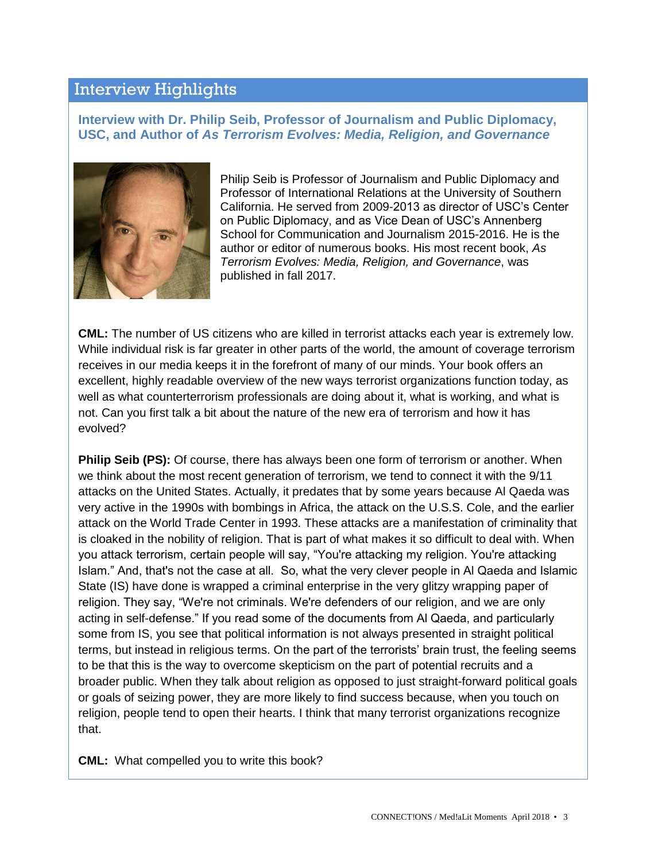## Interview Highlights

**Interview with Dr. Philip Seib, Professor of Journalism and Public Diplomacy, USC, and Author of** *As Terrorism Evolves: Media, Religion, and Governance*



Philip Seib is Professor of Journalism and Public Diplomacy and Professor of International Relations at the University of Southern California. He served from 2009-2013 as director of USC's Center on Public Diplomacy, and as Vice Dean of USC's Annenberg School for Communication and Journalism 2015-2016. He is the author or editor of numerous books. His most recent book, *As Terrorism Evolves: Media, Religion, and Governance*, was published in fall 2017.

**CML:** The number of US citizens who are killed in terrorist attacks each year is extremely low. While individual risk is far greater in other parts of the world, the amount of coverage terrorism receives in our media keeps it in the forefront of many of our minds. Your book offers an excellent, highly readable overview of the new ways terrorist organizations function today, as well as what counterterrorism professionals are doing about it, what is working, and what is not. Can you first talk a bit about the nature of the new era of terrorism and how it has evolved?

**Philip Seib (PS):** Of course, there has always been one form of terrorism or another. When we think about the most recent generation of terrorism, we tend to connect it with the 9/11 attacks on the United States. Actually, it predates that by some years because Al Qaeda was very active in the 1990s with bombings in Africa, the attack on the U.S.S. Cole, and the earlier attack on the World Trade Center in 1993. These attacks are a manifestation of criminality that is cloaked in the nobility of religion. That is part of what makes it so difficult to deal with. When you attack terrorism, certain people will say, "You're attacking my religion. You're attacking Islam." And, that's not the case at all. So, what the very clever people in Al Qaeda and Islamic State (IS) have done is wrapped a criminal enterprise in the very glitzy wrapping paper of religion. They say, "We're not criminals. We're defenders of our religion, and we are only acting in self-defense." If you read some of the documents from Al Qaeda, and particularly some from IS, you see that political information is not always presented in straight political terms, but instead in religious terms. On the part of the terrorists' brain trust, the feeling seems to be that this is the way to overcome skepticism on the part of potential recruits and a broader public. When they talk about religion as opposed to just straight-forward political goals or goals of seizing power, they are more likely to find success because, when you touch on religion, people tend to open their hearts. I think that many terrorist organizations recognize that.

**CML:** What compelled you to write this book?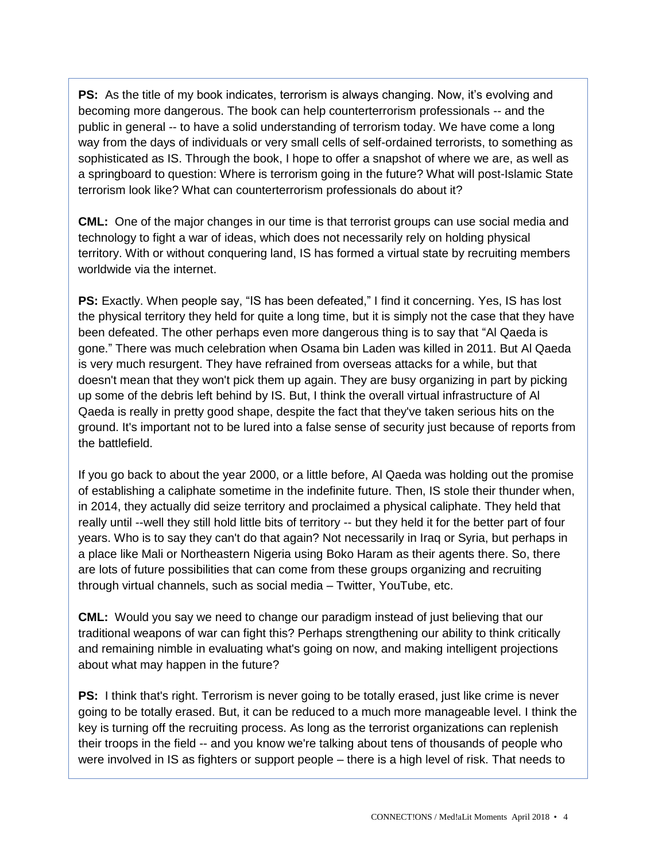**PS:** As the title of my book indicates, terrorism is always changing. Now, it's evolving and becoming more dangerous. The book can help counterterrorism professionals -- and the public in general -- to have a solid understanding of terrorism today. We have come a long way from the days of individuals or very small cells of self-ordained terrorists, to something as sophisticated as IS. Through the book, I hope to offer a snapshot of where we are, as well as a springboard to question: Where is terrorism going in the future? What will post-Islamic State terrorism look like? What can counterterrorism professionals do about it?

**CML:** One of the major changes in our time is that terrorist groups can use social media and technology to fight a war of ideas, which does not necessarily rely on holding physical territory. With or without conquering land, IS has formed a virtual state by recruiting members worldwide via the internet.

**PS:** Exactly. When people say, "IS has been defeated," I find it concerning. Yes, IS has lost the physical territory they held for quite a long time, but it is simply not the case that they have been defeated. The other perhaps even more dangerous thing is to say that "Al Qaeda is gone." There was much celebration when Osama bin Laden was killed in 2011. But Al Qaeda is very much resurgent. They have refrained from overseas attacks for a while, but that doesn't mean that they won't pick them up again. They are busy organizing in part by picking up some of the debris left behind by IS. But, I think the overall virtual infrastructure of Al Qaeda is really in pretty good shape, despite the fact that they've taken serious hits on the ground. It's important not to be lured into a false sense of security just because of reports from the battlefield.

If you go back to about the year 2000, or a little before, Al Qaeda was holding out the promise of establishing a caliphate sometime in the indefinite future. Then, IS stole their thunder when, in 2014, they actually did seize territory and proclaimed a physical caliphate. They held that really until --well they still hold little bits of territory -- but they held it for the better part of four years. Who is to say they can't do that again? Not necessarily in Iraq or Syria, but perhaps in a place like Mali or Northeastern Nigeria using Boko Haram as their agents there. So, there are lots of future possibilities that can come from these groups organizing and recruiting through virtual channels, such as social media – Twitter, YouTube, etc.

**CML:** Would you say we need to change our paradigm instead of just believing that our traditional weapons of war can fight this? Perhaps strengthening our ability to think critically and remaining nimble in evaluating what's going on now, and making intelligent projections about what may happen in the future?

**PS:** I think that's right. Terrorism is never going to be totally erased, just like crime is never going to be totally erased. But, it can be reduced to a much more manageable level. I think the key is turning off the recruiting process. As long as the terrorist organizations can replenish their troops in the field -- and you know we're talking about tens of thousands of people who were involved in IS as fighters or support people – there is a high level of risk. That needs to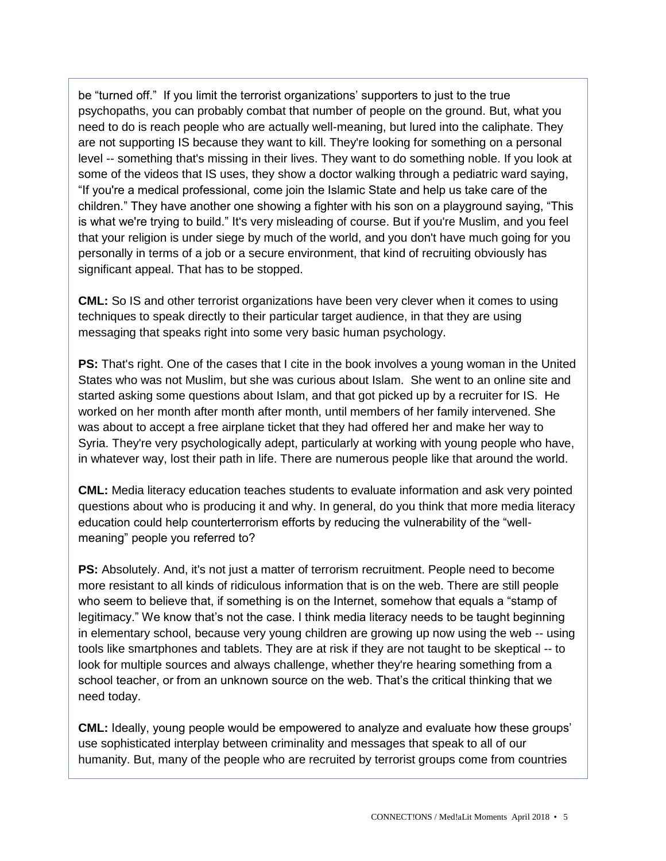be "turned off." If you limit the terrorist organizations' supporters to just to the true psychopaths, you can probably combat that number of people on the ground. But, what you need to do is reach people who are actually well-meaning, but lured into the caliphate. They are not supporting IS because they want to kill. They're looking for something on a personal level -- something that's missing in their lives. They want to do something noble. If you look at some of the videos that IS uses, they show a doctor walking through a pediatric ward saying, "If you're a medical professional, come join the Islamic State and help us take care of the children." They have another one showing a fighter with his son on a playground saying, "This is what we're trying to build." It's very misleading of course. But if you're Muslim, and you feel that your religion is under siege by much of the world, and you don't have much going for you personally in terms of a job or a secure environment, that kind of recruiting obviously has significant appeal. That has to be stopped.

**CML:** So IS and other terrorist organizations have been very clever when it comes to using techniques to speak directly to their particular target audience, in that they are using messaging that speaks right into some very basic human psychology.

**PS:** That's right. One of the cases that I cite in the book involves a young woman in the United States who was not Muslim, but she was curious about Islam. She went to an online site and started asking some questions about Islam, and that got picked up by a recruiter for IS. He worked on her month after month after month, until members of her family intervened. She was about to accept a free airplane ticket that they had offered her and make her way to Syria. They're very psychologically adept, particularly at working with young people who have, in whatever way, lost their path in life. There are numerous people like that around the world.

**CML:** Media literacy education teaches students to evaluate information and ask very pointed questions about who is producing it and why. In general, do you think that more media literacy education could help counterterrorism efforts by reducing the vulnerability of the "wellmeaning" people you referred to?

**PS:** Absolutely. And, it's not just a matter of terrorism recruitment. People need to become more resistant to all kinds of ridiculous information that is on the web. There are still people who seem to believe that, if something is on the Internet, somehow that equals a "stamp of legitimacy." We know that's not the case. I think media literacy needs to be taught beginning in elementary school, because very young children are growing up now using the web -- using tools like smartphones and tablets. They are at risk if they are not taught to be skeptical -- to look for multiple sources and always challenge, whether they're hearing something from a school teacher, or from an unknown source on the web. That's the critical thinking that we need today.

**CML:** Ideally, young people would be empowered to analyze and evaluate how these groups' use sophisticated interplay between criminality and messages that speak to all of our humanity. But, many of the people who are recruited by terrorist groups come from countries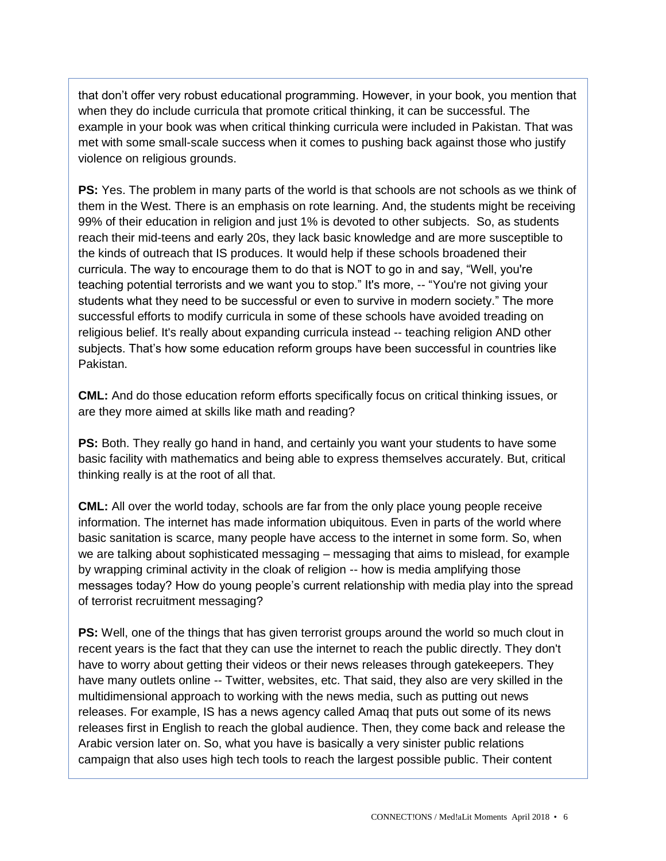that don't offer very robust educational programming. However, in your book, you mention that when they do include curricula that promote critical thinking, it can be successful. The example in your book was when critical thinking curricula were included in Pakistan. That was met with some small-scale success when it comes to pushing back against those who justify violence on religious grounds.

**PS:** Yes. The problem in many parts of the world is that schools are not schools as we think of them in the West. There is an emphasis on rote learning. And, the students might be receiving 99% of their education in religion and just 1% is devoted to other subjects. So, as students reach their mid-teens and early 20s, they lack basic knowledge and are more susceptible to the kinds of outreach that IS produces. It would help if these schools broadened their curricula. The way to encourage them to do that is NOT to go in and say, "Well, you're teaching potential terrorists and we want you to stop." It's more, -- "You're not giving your students what they need to be successful or even to survive in modern society." The more successful efforts to modify curricula in some of these schools have avoided treading on religious belief. It's really about expanding curricula instead -- teaching religion AND other subjects. That's how some education reform groups have been successful in countries like Pakistan.

**CML:** And do those education reform efforts specifically focus on critical thinking issues, or are they more aimed at skills like math and reading?

**PS:** Both. They really go hand in hand, and certainly you want your students to have some basic facility with mathematics and being able to express themselves accurately. But, critical thinking really is at the root of all that.

**CML:** All over the world today, schools are far from the only place young people receive information. The internet has made information ubiquitous. Even in parts of the world where basic sanitation is scarce, many people have access to the internet in some form. So, when we are talking about sophisticated messaging – messaging that aims to mislead, for example by wrapping criminal activity in the cloak of religion -- how is media amplifying those messages today? How do young people's current relationship with media play into the spread of terrorist recruitment messaging?

**PS:** Well, one of the things that has given terrorist groups around the world so much clout in recent years is the fact that they can use the internet to reach the public directly. They don't have to worry about getting their videos or their news releases through gatekeepers. They have many outlets online -- Twitter, websites, etc. That said, they also are very skilled in the multidimensional approach to working with the news media, such as putting out news releases. For example, IS has a news agency called Amaq that puts out some of its news releases first in English to reach the global audience. Then, they come back and release the Arabic version later on. So, what you have is basically a very sinister public relations campaign that also uses high tech tools to reach the largest possible public. Their content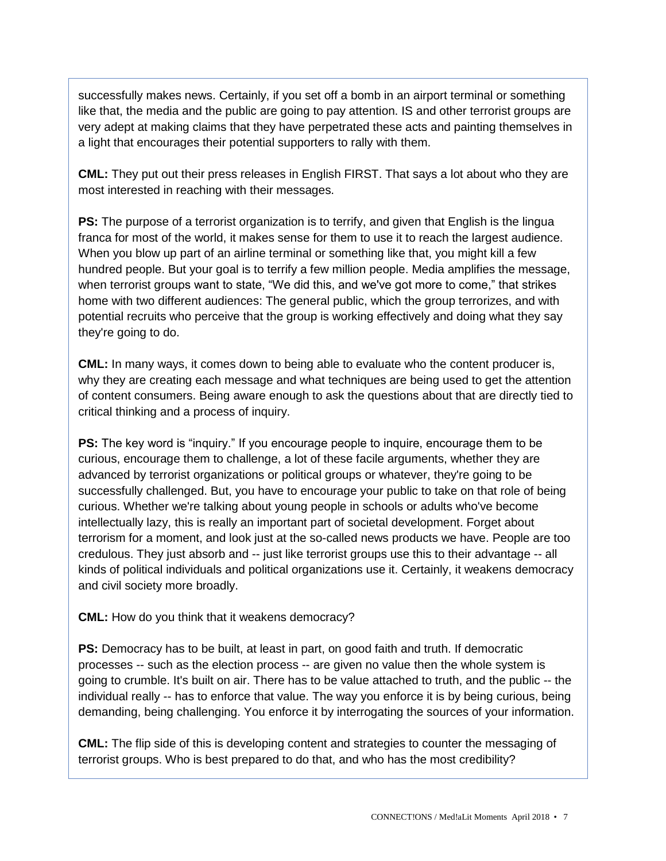successfully makes news. Certainly, if you set off a bomb in an airport terminal or something like that, the media and the public are going to pay attention. IS and other terrorist groups are very adept at making claims that they have perpetrated these acts and painting themselves in a light that encourages their potential supporters to rally with them.

**CML:** They put out their press releases in English FIRST. That says a lot about who they are most interested in reaching with their messages.

**PS:** The purpose of a terrorist organization is to terrify, and given that English is the lingua franca for most of the world, it makes sense for them to use it to reach the largest audience. When you blow up part of an airline terminal or something like that, you might kill a few hundred people. But your goal is to terrify a few million people. Media amplifies the message, when terrorist groups want to state, "We did this, and we've got more to come," that strikes home with two different audiences: The general public, which the group terrorizes, and with potential recruits who perceive that the group is working effectively and doing what they say they're going to do.

**CML:** In many ways, it comes down to being able to evaluate who the content producer is, why they are creating each message and what techniques are being used to get the attention of content consumers. Being aware enough to ask the questions about that are directly tied to critical thinking and a process of inquiry.

**PS:** The key word is "inquiry." If you encourage people to inquire, encourage them to be curious, encourage them to challenge, a lot of these facile arguments, whether they are advanced by terrorist organizations or political groups or whatever, they're going to be successfully challenged. But, you have to encourage your public to take on that role of being curious. Whether we're talking about young people in schools or adults who've become intellectually lazy, this is really an important part of societal development. Forget about terrorism for a moment, and look just at the so-called news products we have. People are too credulous. They just absorb and -- just like terrorist groups use this to their advantage -- all kinds of political individuals and political organizations use it. Certainly, it weakens democracy and civil society more broadly.

#### **CML:** How do you think that it weakens democracy?

**PS:** Democracy has to be built, at least in part, on good faith and truth. If democratic processes -- such as the election process -- are given no value then the whole system is going to crumble. It's built on air. There has to be value attached to truth, and the public -- the individual really -- has to enforce that value. The way you enforce it is by being curious, being demanding, being challenging. You enforce it by interrogating the sources of your information.

**CML:** The flip side of this is developing content and strategies to counter the messaging of terrorist groups. Who is best prepared to do that, and who has the most credibility?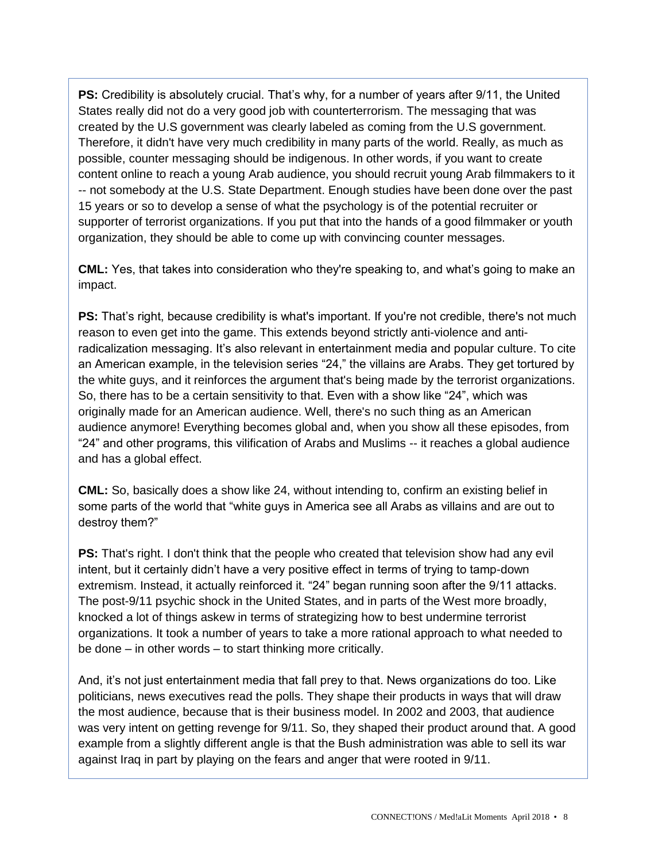**PS:** Credibility is absolutely crucial. That's why, for a number of years after 9/11, the United States really did not do a very good job with counterterrorism. The messaging that was created by the U.S government was clearly labeled as coming from the U.S government. Therefore, it didn't have very much credibility in many parts of the world. Really, as much as possible, counter messaging should be indigenous. In other words, if you want to create content online to reach a young Arab audience, you should recruit young Arab filmmakers to it -- not somebody at the U.S. State Department. Enough studies have been done over the past 15 years or so to develop a sense of what the psychology is of the potential recruiter or supporter of terrorist organizations. If you put that into the hands of a good filmmaker or youth organization, they should be able to come up with convincing counter messages.

**CML:** Yes, that takes into consideration who they're speaking to, and what's going to make an impact.

**PS:** That's right, because credibility is what's important. If you're not credible, there's not much reason to even get into the game. This extends beyond strictly anti-violence and antiradicalization messaging. It's also relevant in entertainment media and popular culture. To cite an American example, in the television series "24," the villains are Arabs. They get tortured by the white guys, and it reinforces the argument that's being made by the terrorist organizations. So, there has to be a certain sensitivity to that. Even with a show like "24", which was originally made for an American audience. Well, there's no such thing as an American audience anymore! Everything becomes global and, when you show all these episodes, from "24" and other programs, this vilification of Arabs and Muslims -- it reaches a global audience and has a global effect.

**CML:** So, basically does a show like 24, without intending to, confirm an existing belief in some parts of the world that "white guys in America see all Arabs as villains and are out to destroy them?"

**PS:** That's right. I don't think that the people who created that television show had any evil intent, but it certainly didn't have a very positive effect in terms of trying to tamp-down extremism. Instead, it actually reinforced it. "24" began running soon after the 9/11 attacks. The post-9/11 psychic shock in the United States, and in parts of the West more broadly, knocked a lot of things askew in terms of strategizing how to best undermine terrorist organizations. It took a number of years to take a more rational approach to what needed to be done – in other words – to start thinking more critically.

And, it's not just entertainment media that fall prey to that. News organizations do too. Like politicians, news executives read the polls. They shape their products in ways that will draw the most audience, because that is their business model. In 2002 and 2003, that audience was very intent on getting revenge for 9/11. So, they shaped their product around that. A good example from a slightly different angle is that the Bush administration was able to sell its war against Iraq in part by playing on the fears and anger that were rooted in 9/11.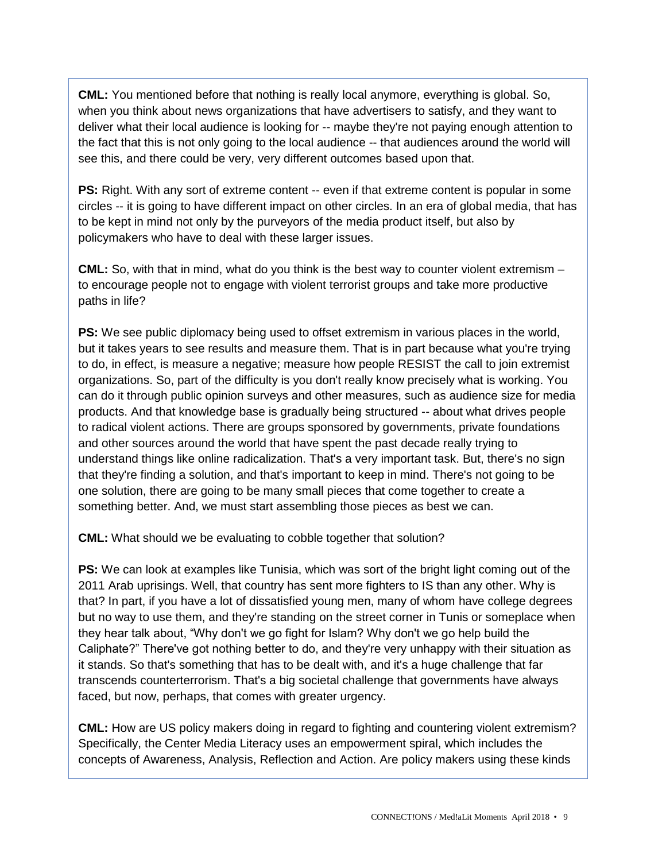**CML:** You mentioned before that nothing is really local anymore, everything is global. So, when you think about news organizations that have advertisers to satisfy, and they want to deliver what their local audience is looking for -- maybe they're not paying enough attention to the fact that this is not only going to the local audience -- that audiences around the world will see this, and there could be very, very different outcomes based upon that.

**PS:** Right. With any sort of extreme content -- even if that extreme content is popular in some circles -- it is going to have different impact on other circles. In an era of global media, that has to be kept in mind not only by the purveyors of the media product itself, but also by policymakers who have to deal with these larger issues.

**CML:** So, with that in mind, what do you think is the best way to counter violent extremism – to encourage people not to engage with violent terrorist groups and take more productive paths in life?

**PS:** We see public diplomacy being used to offset extremism in various places in the world, but it takes years to see results and measure them. That is in part because what you're trying to do, in effect, is measure a negative; measure how people RESIST the call to join extremist organizations. So, part of the difficulty is you don't really know precisely what is working. You can do it through public opinion surveys and other measures, such as audience size for media products. And that knowledge base is gradually being structured -- about what drives people to radical violent actions. There are groups sponsored by governments, private foundations and other sources around the world that have spent the past decade really trying to understand things like online radicalization. That's a very important task. But, there's no sign that they're finding a solution, and that's important to keep in mind. There's not going to be one solution, there are going to be many small pieces that come together to create a something better. And, we must start assembling those pieces as best we can.

**CML:** What should we be evaluating to cobble together that solution?

**PS:** We can look at examples like Tunisia, which was sort of the bright light coming out of the 2011 Arab uprisings. Well, that country has sent more fighters to IS than any other. Why is that? In part, if you have a lot of dissatisfied young men, many of whom have college degrees but no way to use them, and they're standing on the street corner in Tunis or someplace when they hear talk about, "Why don't we go fight for Islam? Why don't we go help build the Caliphate?" There've got nothing better to do, and they're very unhappy with their situation as it stands. So that's something that has to be dealt with, and it's a huge challenge that far transcends counterterrorism. That's a big societal challenge that governments have always faced, but now, perhaps, that comes with greater urgency.

**CML:** How are US policy makers doing in regard to fighting and countering violent extremism? Specifically, the Center Media Literacy uses an empowerment spiral, which includes the concepts of Awareness, Analysis, Reflection and Action. Are policy makers using these kinds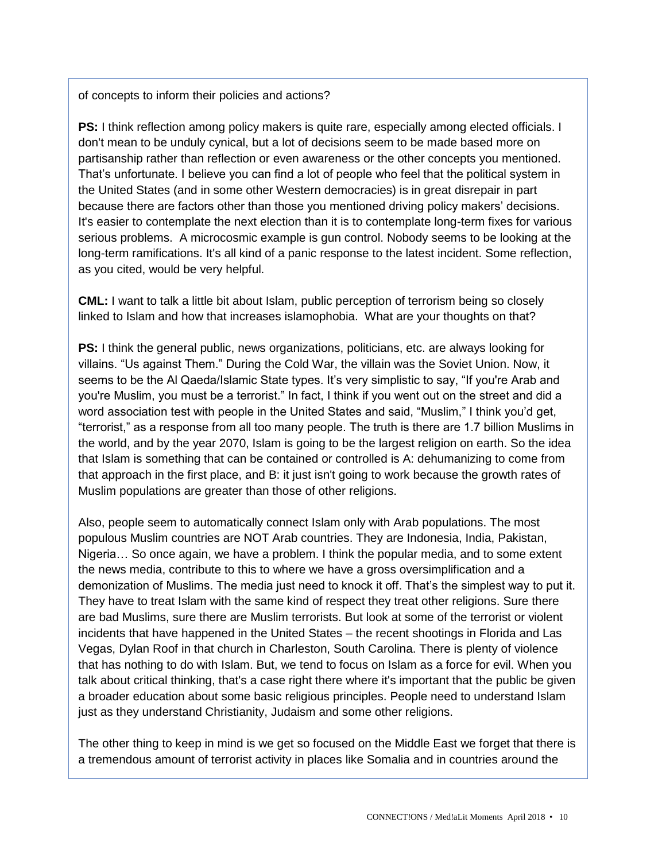#### of concepts to inform their policies and actions?

**PS:** I think reflection among policy makers is quite rare, especially among elected officials. I don't mean to be unduly cynical, but a lot of decisions seem to be made based more on partisanship rather than reflection or even awareness or the other concepts you mentioned. That's unfortunate. I believe you can find a lot of people who feel that the political system in the United States (and in some other Western democracies) is in great disrepair in part because there are factors other than those you mentioned driving policy makers' decisions. It's easier to contemplate the next election than it is to contemplate long-term fixes for various serious problems. A microcosmic example is gun control. Nobody seems to be looking at the long-term ramifications. It's all kind of a panic response to the latest incident. Some reflection, as you cited, would be very helpful.

**CML:** I want to talk a little bit about Islam, public perception of terrorism being so closely linked to Islam and how that increases islamophobia. What are your thoughts on that?

**PS:** I think the general public, news organizations, politicians, etc. are always looking for villains. "Us against Them." During the Cold War, the villain was the Soviet Union. Now, it seems to be the Al Qaeda/Islamic State types. It's very simplistic to say, "If you're Arab and you're Muslim, you must be a terrorist." In fact, I think if you went out on the street and did a word association test with people in the United States and said, "Muslim," I think you'd get, "terrorist," as a response from all too many people. The truth is there are 1.7 billion Muslims in the world, and by the year 2070, Islam is going to be the largest religion on earth. So the idea that Islam is something that can be contained or controlled is A: dehumanizing to come from that approach in the first place, and B: it just isn't going to work because the growth rates of Muslim populations are greater than those of other religions.

Also, people seem to automatically connect Islam only with Arab populations. The most populous Muslim countries are NOT Arab countries. They are Indonesia, India, Pakistan, Nigeria… So once again, we have a problem. I think the popular media, and to some extent the news media, contribute to this to where we have a gross oversimplification and a demonization of Muslims. The media just need to knock it off. That's the simplest way to put it. They have to treat Islam with the same kind of respect they treat other religions. Sure there are bad Muslims, sure there are Muslim terrorists. But look at some of the terrorist or violent incidents that have happened in the United States – the recent shootings in Florida and Las Vegas, Dylan Roof in that church in Charleston, South Carolina. There is plenty of violence that has nothing to do with Islam. But, we tend to focus on Islam as a force for evil. When you talk about critical thinking, that's a case right there where it's important that the public be given a broader education about some basic religious principles. People need to understand Islam just as they understand Christianity, Judaism and some other religions.

The other thing to keep in mind is we get so focused on the Middle East we forget that there is a tremendous amount of terrorist activity in places like Somalia and in countries around the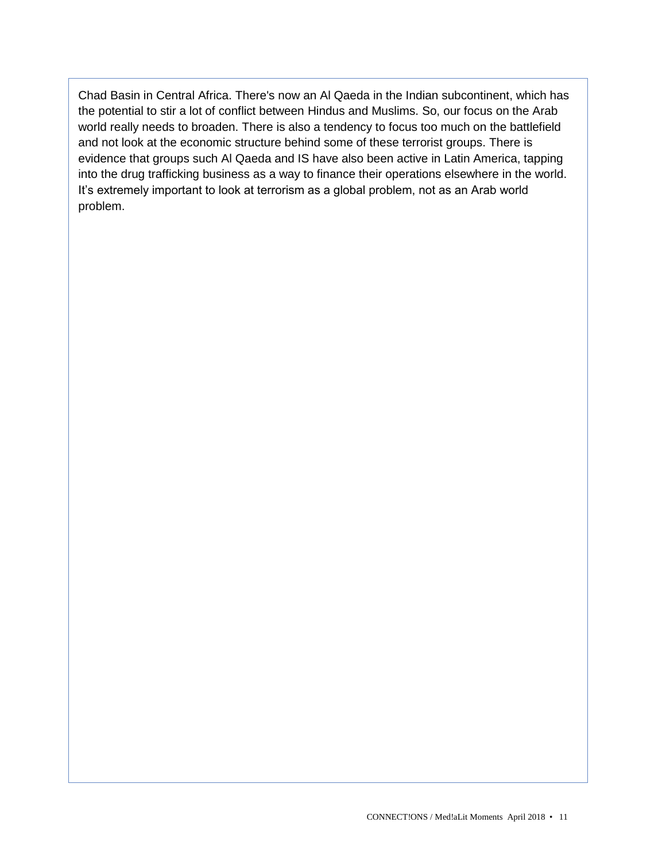Chad Basin in Central Africa. There's now an Al Qaeda in the Indian subcontinent, which has the potential to stir a lot of conflict between Hindus and Muslims. So, our focus on the Arab world really needs to broaden. There is also a tendency to focus too much on the battlefield and not look at the economic structure behind some of these terrorist groups. There is evidence that groups such Al Qaeda and IS have also been active in Latin America, tapping into the drug trafficking business as a way to finance their operations elsewhere in the world. It's extremely important to look at terrorism as a global problem, not as an Arab world problem.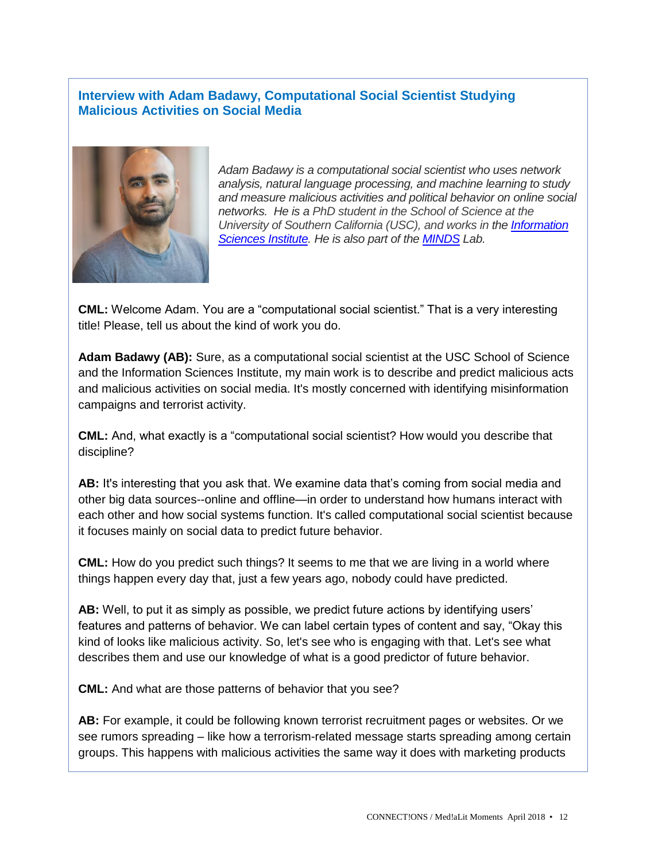#### **Interview with Adam Badawy, Computational Social Scientist Studying Malicious Activities on Social Media**



*Adam Badawy is a computational social scientist who uses network analysis, natural language processing, and machine learning to study and measure malicious activities and political behavior on online social networks. He is a PhD student in the School of Science at the University of Southern California (USC), and works in the [Information](https://www.isi.edu/)  [Sciences Institute.](https://www.isi.edu/) He is also part of the [MINDS](https://minds.isi.edu/) Lab.* 

**CML:** Welcome Adam. You are a "computational social scientist." That is a very interesting title! Please, tell us about the kind of work you do.

**Adam Badawy (AB):** Sure, as a computational social scientist at the USC School of Science and the Information Sciences Institute, my main work is to describe and predict malicious acts and malicious activities on social media. It's mostly concerned with identifying misinformation campaigns and terrorist activity.

**CML:** And, what exactly is a "computational social scientist? How would you describe that discipline?

**AB:** It's interesting that you ask that. We examine data that's coming from social media and other big data sources--online and offline—in order to understand how humans interact with each other and how social systems function. It's called computational social scientist because it focuses mainly on social data to predict future behavior.

**CML:** How do you predict such things? It seems to me that we are living in a world where things happen every day that, just a few years ago, nobody could have predicted.

**AB:** Well, to put it as simply as possible, we predict future actions by identifying users' features and patterns of behavior. We can label certain types of content and say, "Okay this kind of looks like malicious activity. So, let's see who is engaging with that. Let's see what describes them and use our knowledge of what is a good predictor of future behavior.

**CML:** And what are those patterns of behavior that you see?

**AB:** For example, it could be following known terrorist recruitment pages or websites. Or we see rumors spreading – like how a terrorism-related message starts spreading among certain groups. This happens with malicious activities the same way it does with marketing products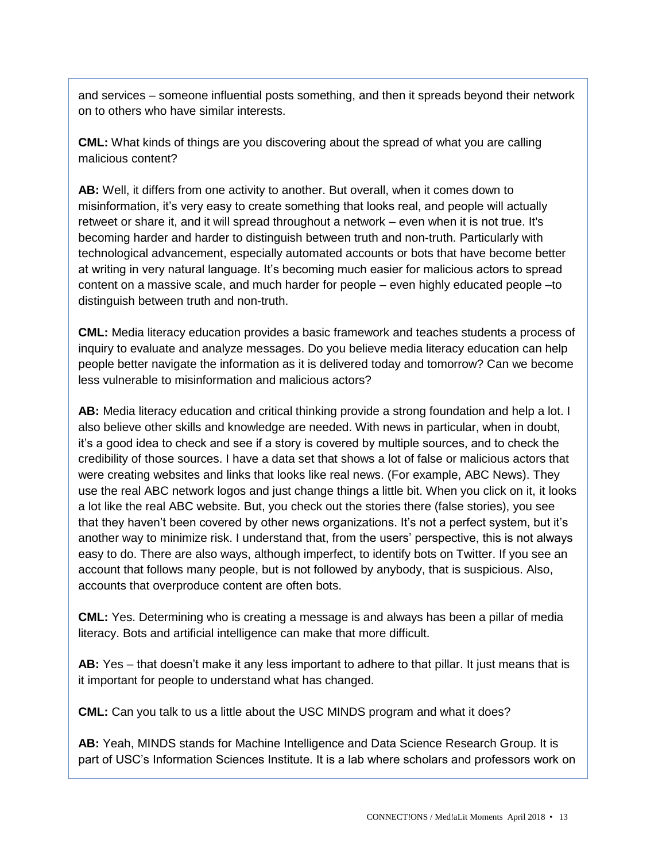and services – someone influential posts something, and then it spreads beyond their network on to others who have similar interests.

**CML:** What kinds of things are you discovering about the spread of what you are calling malicious content?

**AB:** Well, it differs from one activity to another. But overall, when it comes down to misinformation, it's very easy to create something that looks real, and people will actually retweet or share it, and it will spread throughout a network – even when it is not true. It's becoming harder and harder to distinguish between truth and non-truth. Particularly with technological advancement, especially automated accounts or bots that have become better at writing in very natural language. It's becoming much easier for malicious actors to spread content on a massive scale, and much harder for people – even highly educated people –to distinguish between truth and non-truth.

**CML:** Media literacy education provides a basic framework and teaches students a process of inquiry to evaluate and analyze messages. Do you believe media literacy education can help people better navigate the information as it is delivered today and tomorrow? Can we become less vulnerable to misinformation and malicious actors?

**AB:** Media literacy education and critical thinking provide a strong foundation and help a lot. I also believe other skills and knowledge are needed. With news in particular, when in doubt, it's a good idea to check and see if a story is covered by multiple sources, and to check the credibility of those sources. I have a data set that shows a lot of false or malicious actors that were creating websites and links that looks like real news. (For example, ABC News). They use the real ABC network logos and just change things a little bit. When you click on it, it looks a lot like the real ABC website. But, you check out the stories there (false stories), you see that they haven't been covered by other news organizations. It's not a perfect system, but it's another way to minimize risk. I understand that, from the users' perspective, this is not always easy to do. There are also ways, although imperfect, to identify bots on Twitter. If you see an account that follows many people, but is not followed by anybody, that is suspicious. Also, accounts that overproduce content are often bots.

**CML:** Yes. Determining who is creating a message is and always has been a pillar of media literacy. Bots and artificial intelligence can make that more difficult.

**AB:** Yes – that doesn't make it any less important to adhere to that pillar. It just means that is it important for people to understand what has changed.

**CML:** Can you talk to us a little about the USC MINDS program and what it does?

**AB:** Yeah, MINDS stands for Machine Intelligence and Data Science Research Group. It is part of USC's Information Sciences Institute. It is a lab where scholars and professors work on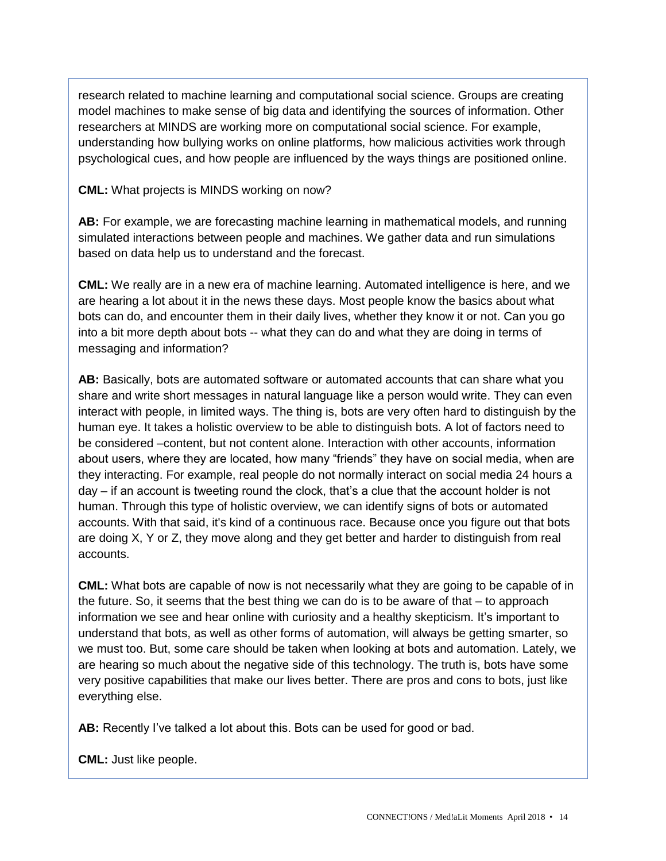research related to machine learning and computational social science. Groups are creating model machines to make sense of big data and identifying the sources of information. Other researchers at MINDS are working more on computational social science. For example, understanding how bullying works on online platforms, how malicious activities work through psychological cues, and how people are influenced by the ways things are positioned online.

**CML:** What projects is MINDS working on now?

**AB:** For example, we are forecasting machine learning in mathematical models, and running simulated interactions between people and machines. We gather data and run simulations based on data help us to understand and the forecast.

**CML:** We really are in a new era of machine learning. Automated intelligence is here, and we are hearing a lot about it in the news these days. Most people know the basics about what bots can do, and encounter them in their daily lives, whether they know it or not. Can you go into a bit more depth about bots -- what they can do and what they are doing in terms of messaging and information?

**AB:** Basically, bots are automated software or automated accounts that can share what you share and write short messages in natural language like a person would write. They can even interact with people, in limited ways. The thing is, bots are very often hard to distinguish by the human eve. It takes a holistic overview to be able to distinguish bots. A lot of factors need to be considered –content, but not content alone. Interaction with other accounts, information about users, where they are located, how many "friends" they have on social media, when are they interacting. For example, real people do not normally interact on social media 24 hours a day – if an account is tweeting round the clock, that's a clue that the account holder is not human. Through this type of holistic overview, we can identify signs of bots or automated accounts. With that said, it's kind of a continuous race. Because once you figure out that bots are doing X, Y or Z, they move along and they get better and harder to distinguish from real accounts.

**CML:** What bots are capable of now is not necessarily what they are going to be capable of in the future. So, it seems that the best thing we can do is to be aware of that – to approach information we see and hear online with curiosity and a healthy skepticism. It's important to understand that bots, as well as other forms of automation, will always be getting smarter, so we must too. But, some care should be taken when looking at bots and automation. Lately, we are hearing so much about the negative side of this technology. The truth is, bots have some very positive capabilities that make our lives better. There are pros and cons to bots, just like everything else.

**AB:** Recently I've talked a lot about this. Bots can be used for good or bad.

**CML:** Just like people.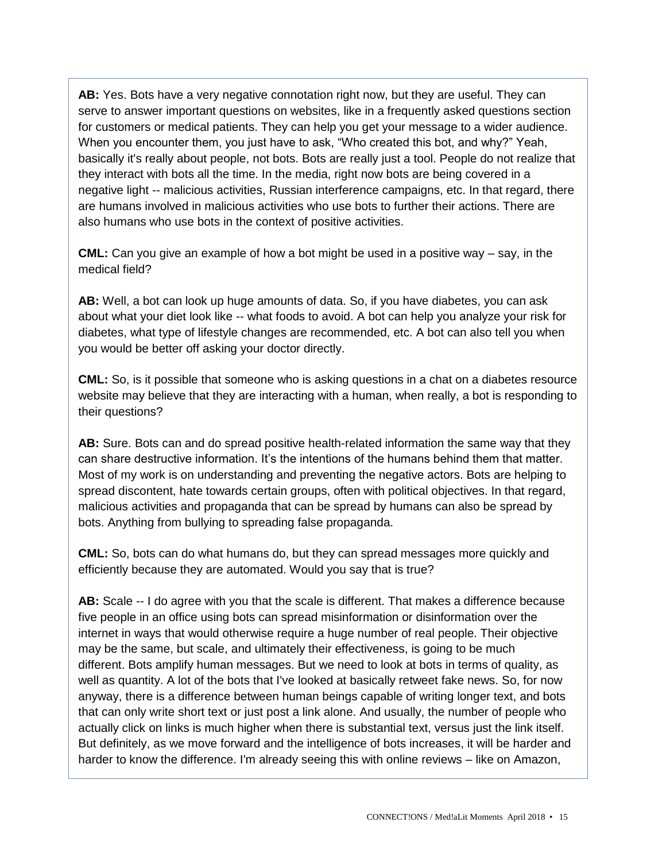**AB:** Yes. Bots have a very negative connotation right now, but they are useful. They can serve to answer important questions on websites, like in a frequently asked questions section for customers or medical patients. They can help you get your message to a wider audience. When you encounter them, you just have to ask, "Who created this bot, and why?" Yeah, basically it's really about people, not bots. Bots are really just a tool. People do not realize that they interact with bots all the time. In the media, right now bots are being covered in a negative light -- malicious activities, Russian interference campaigns, etc. In that regard, there are humans involved in malicious activities who use bots to further their actions. There are also humans who use bots in the context of positive activities.

**CML:** Can you give an example of how a bot might be used in a positive way – say, in the medical field?

**AB:** Well, a bot can look up huge amounts of data. So, if you have diabetes, you can ask about what your diet look like -- what foods to avoid. A bot can help you analyze your risk for diabetes, what type of lifestyle changes are recommended, etc. A bot can also tell you when you would be better off asking your doctor directly.

**CML:** So, is it possible that someone who is asking questions in a chat on a diabetes resource website may believe that they are interacting with a human, when really, a bot is responding to their questions?

**AB:** Sure. Bots can and do spread positive health-related information the same way that they can share destructive information. It's the intentions of the humans behind them that matter. Most of my work is on understanding and preventing the negative actors. Bots are helping to spread discontent, hate towards certain groups, often with political objectives. In that regard, malicious activities and propaganda that can be spread by humans can also be spread by bots. Anything from bullying to spreading false propaganda.

**CML:** So, bots can do what humans do, but they can spread messages more quickly and efficiently because they are automated. Would you say that is true?

**AB:** Scale -- I do agree with you that the scale is different. That makes a difference because five people in an office using bots can spread misinformation or disinformation over the internet in ways that would otherwise require a huge number of real people. Their objective may be the same, but scale, and ultimately their effectiveness, is going to be much different. Bots amplify human messages. But we need to look at bots in terms of quality, as well as quantity. A lot of the bots that I've looked at basically retweet fake news. So, for now anyway, there is a difference between human beings capable of writing longer text, and bots that can only write short text or just post a link alone. And usually, the number of people who actually click on links is much higher when there is substantial text, versus just the link itself. But definitely, as we move forward and the intelligence of bots increases, it will be harder and harder to know the difference. I'm already seeing this with online reviews – like on Amazon,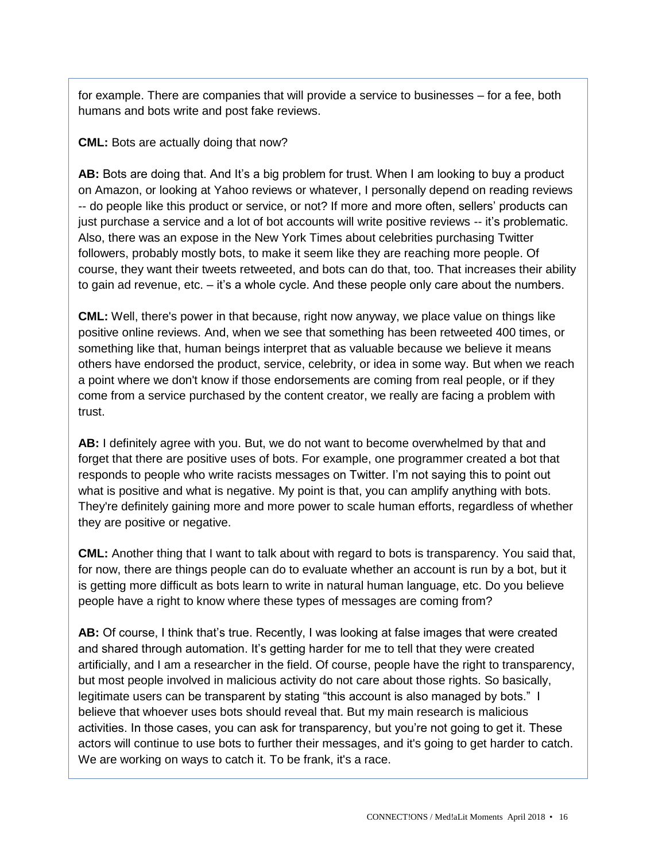for example. There are companies that will provide a service to businesses – for a fee, both humans and bots write and post fake reviews.

#### **CML:** Bots are actually doing that now?

**AB:** Bots are doing that. And It's a big problem for trust. When I am looking to buy a product on Amazon, or looking at Yahoo reviews or whatever, I personally depend on reading reviews -- do people like this product or service, or not? If more and more often, sellers' products can just purchase a service and a lot of bot accounts will write positive reviews -- it's problematic. Also, there was an expose in the New York Times about celebrities purchasing Twitter followers, probably mostly bots, to make it seem like they are reaching more people. Of course, they want their tweets retweeted, and bots can do that, too. That increases their ability to gain ad revenue, etc. – it's a whole cycle. And these people only care about the numbers.

**CML:** Well, there's power in that because, right now anyway, we place value on things like positive online reviews. And, when we see that something has been retweeted 400 times, or something like that, human beings interpret that as valuable because we believe it means others have endorsed the product, service, celebrity, or idea in some way. But when we reach a point where we don't know if those endorsements are coming from real people, or if they come from a service purchased by the content creator, we really are facing a problem with trust.

**AB:** I definitely agree with you. But, we do not want to become overwhelmed by that and forget that there are positive uses of bots. For example, one programmer created a bot that responds to people who write racists messages on Twitter. I'm not saying this to point out what is positive and what is negative. My point is that, you can amplify anything with bots. They're definitely gaining more and more power to scale human efforts, regardless of whether they are positive or negative.

**CML:** Another thing that I want to talk about with regard to bots is transparency. You said that, for now, there are things people can do to evaluate whether an account is run by a bot, but it is getting more difficult as bots learn to write in natural human language, etc. Do you believe people have a right to know where these types of messages are coming from?

**AB:** Of course, I think that's true. Recently, I was looking at false images that were created and shared through automation. It's getting harder for me to tell that they were created artificially, and I am a researcher in the field. Of course, people have the right to transparency, but most people involved in malicious activity do not care about those rights. So basically, legitimate users can be transparent by stating "this account is also managed by bots." I believe that whoever uses bots should reveal that. But my main research is malicious activities. In those cases, you can ask for transparency, but you're not going to get it. These actors will continue to use bots to further their messages, and it's going to get harder to catch. We are working on ways to catch it. To be frank, it's a race.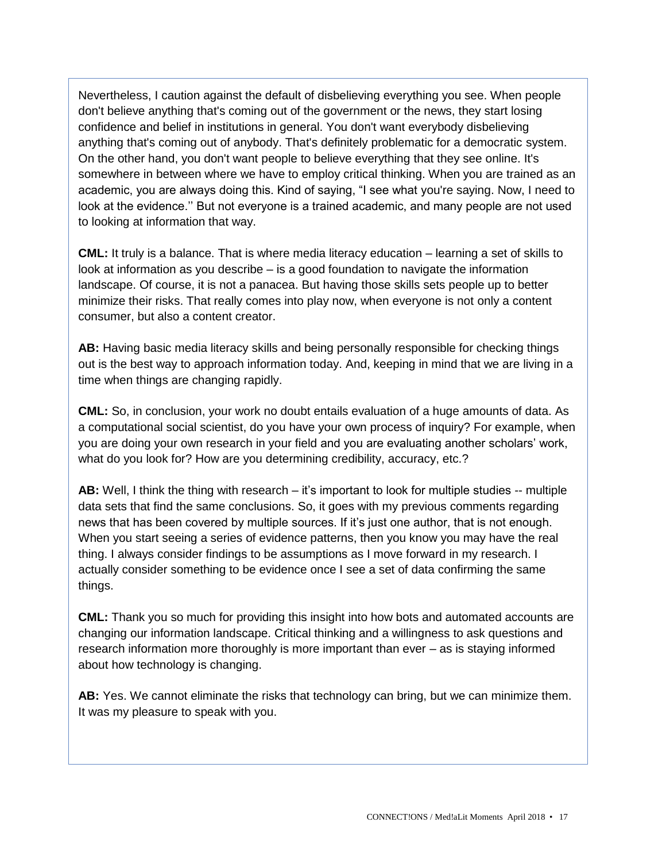Nevertheless, I caution against the default of disbelieving everything you see. When people don't believe anything that's coming out of the government or the news, they start losing confidence and belief in institutions in general. You don't want everybody disbelieving anything that's coming out of anybody. That's definitely problematic for a democratic system. On the other hand, you don't want people to believe everything that they see online. It's somewhere in between where we have to employ critical thinking. When you are trained as an academic, you are always doing this. Kind of saying, "I see what you're saying. Now, I need to look at the evidence.'' But not everyone is a trained academic, and many people are not used to looking at information that way.

**CML:** It truly is a balance. That is where media literacy education – learning a set of skills to look at information as you describe – is a good foundation to navigate the information landscape. Of course, it is not a panacea. But having those skills sets people up to better minimize their risks. That really comes into play now, when everyone is not only a content consumer, but also a content creator.

**AB:** Having basic media literacy skills and being personally responsible for checking things out is the best way to approach information today. And, keeping in mind that we are living in a time when things are changing rapidly.

**CML:** So, in conclusion, your work no doubt entails evaluation of a huge amounts of data. As a computational social scientist, do you have your own process of inquiry? For example, when you are doing your own research in your field and you are evaluating another scholars' work, what do you look for? How are you determining credibility, accuracy, etc.?

**AB:** Well, I think the thing with research – it's important to look for multiple studies -- multiple data sets that find the same conclusions. So, it goes with my previous comments regarding news that has been covered by multiple sources. If it's just one author, that is not enough. When you start seeing a series of evidence patterns, then you know you may have the real thing. I always consider findings to be assumptions as I move forward in my research. I actually consider something to be evidence once I see a set of data confirming the same things.

**CML:** Thank you so much for providing this insight into how bots and automated accounts are changing our information landscape. Critical thinking and a willingness to ask questions and research information more thoroughly is more important than ever – as is staying informed about how technology is changing.

**AB:** Yes. We cannot eliminate the risks that technology can bring, but we can minimize them. It was my pleasure to speak with you.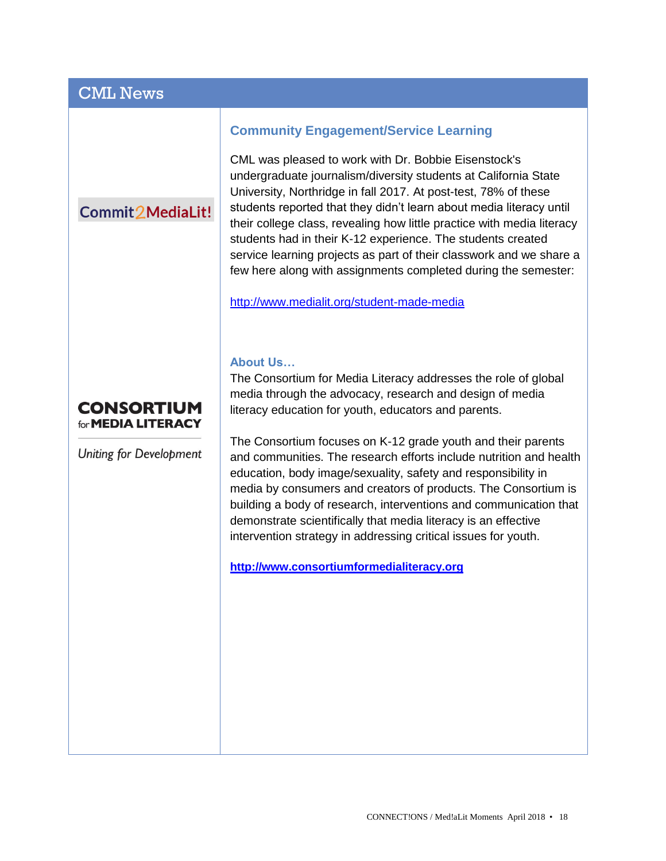## CML News

## Commit 2 Media Lit!

#### **Community Engagement/Service Learning**

CML was pleased to work with Dr. Bobbie Eisenstock's undergraduate journalism/diversity students at California State University, Northridge in fall 2017. At post-test, 78% of these students reported that they didn't learn about media literacy until their college class, revealing how little practice with media literacy students had in their K-12 experience. The students created service learning projects as part of their classwork and we share a few here along with assignments completed during the semester:

<http://www.medialit.org/student-made-media>

#### **About Us…**

## **CONSORTIUM** for **MEDIA LITERACY**

**Uniting for Development** 

The Consortium for Media Literacy addresses the role of global media through the advocacy, research and design of media literacy education for youth, educators and parents.

The Consortium focuses on K-12 grade youth and their parents and communities. The research efforts include nutrition and health education, body image/sexuality, safety and responsibility in media by consumers and creators of products. The Consortium is building a body of research, interventions and communication that demonstrate scientifically that media literacy is an effective intervention strategy in addressing critical issues for youth.

**[http://www.consortiumformedialiteracy.org](http://www.consortiumformedialiteracy.org/)**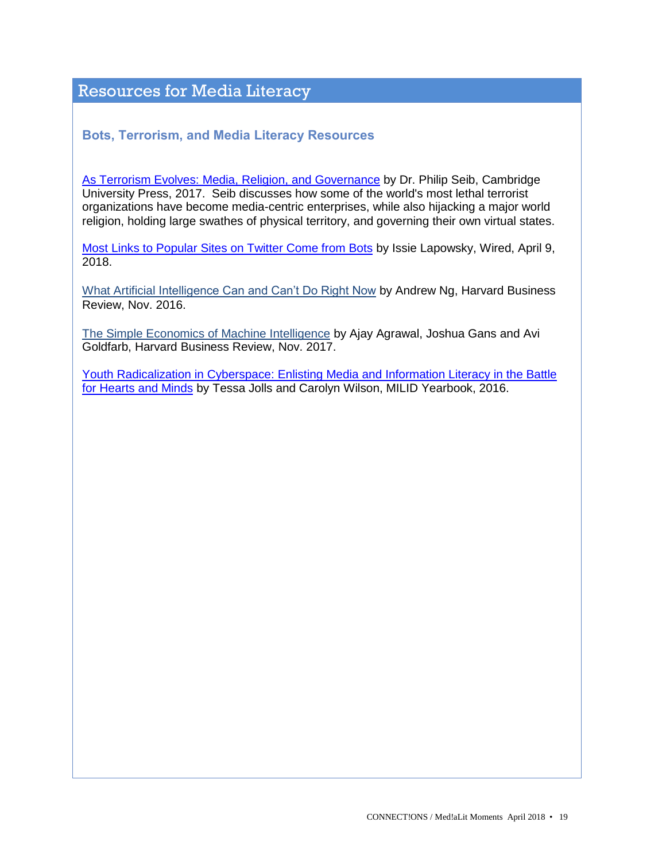## Resources for Media Literacy

#### **Bots, Terrorism, and Media Literacy Resources**

As Terrorism [Evolves: Media, Religion,](https://www.cambridge.org/core/books/as-terrorism-evolves/FC8811AB1F2C0554DCCF9BDF07BBC724) and Governance by Dr. Philip Seib, Cambridge University Press, 2017. Seib discusses how some of the world's most lethal terrorist organizations have become media-centric enterprises, while also hijacking a major world religion, holding large swathes of physical territory, and governing their own virtual states.

[Most Links to Popular Sites on Twitter Come from Bots](https://www.wired.com/story/twitter-bots-links/) by Issie Lapowsky, Wired, April 9, 2018.

What Artificial [Intelligence Can and Can't Do Right Now](https://hbr.org/2016/11/what-artificial-intelligence-can-and-cant-do-right-now) by Andrew Ng, Harvard Business Review, Nov. 2016.

[The Simple Economics of Machine Intelligence](https://hbr.org/2016/11/the-simple-economics-of-machine-intelligence) by Ajay Agrawal, Joshua Gans and Avi Goldfarb, Harvard Business Review, Nov. 2017.

[Youth Radicalization in Cyberspace: Enlisting Media and Information Literacy in the Battle](http://www.medialit.org/sites/default/files/MILID%20Yearbook%202016_0.pdf)  [for Hearts and Minds](http://www.medialit.org/sites/default/files/MILID%20Yearbook%202016_0.pdf) by Tessa Jolls and Carolyn Wilson, MILID Yearbook, 2016.